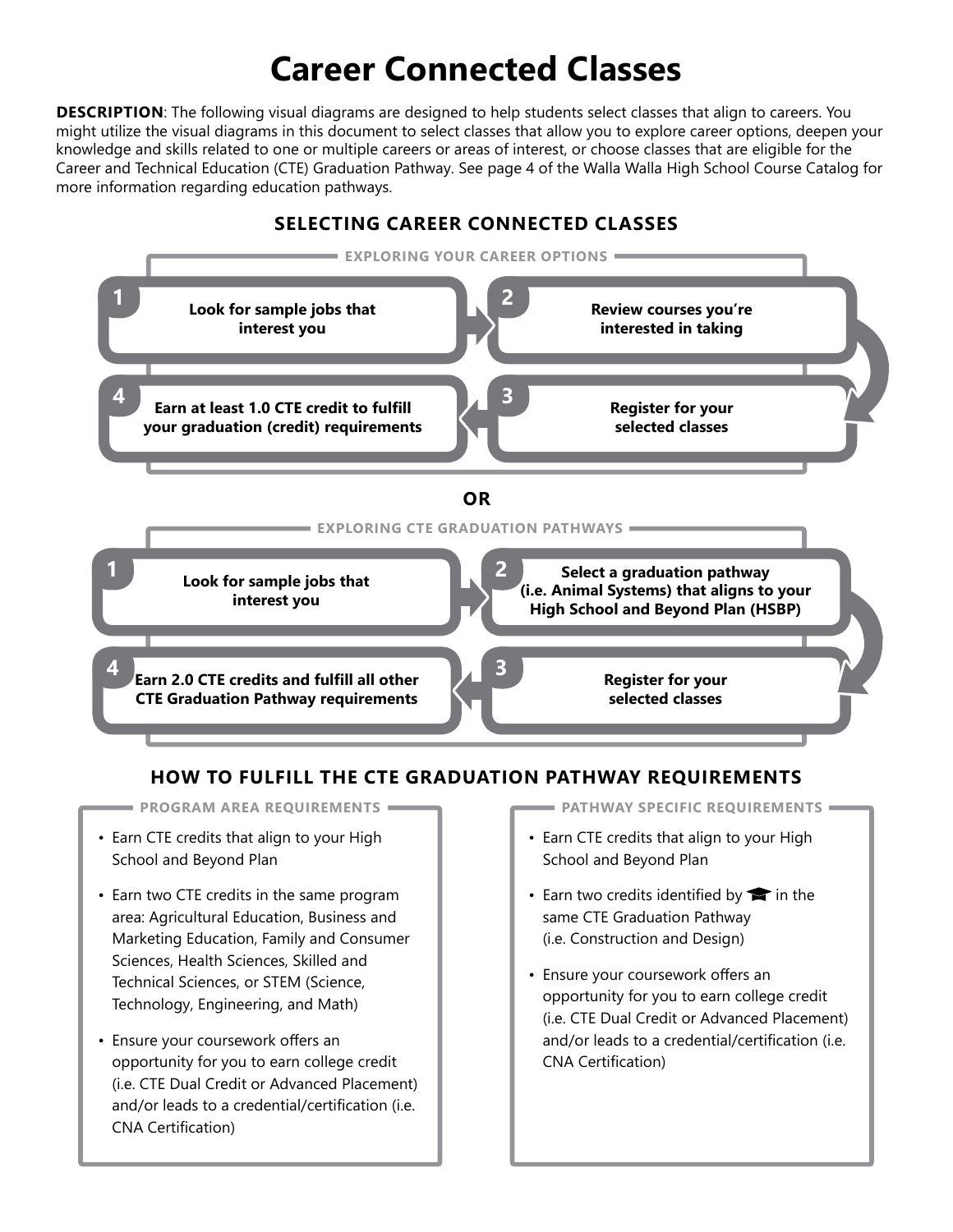# **Career Connected Classes**

**DESCRIPTION**: The following visual diagrams are designed to help students select classes that align to careers. You might utilize the visual diagrams in this document to select classes that allow you to explore career options, deepen your knowledge and skills related to one or multiple careers or areas of interest, or choose classes that are eligible for the Career and Technical Education (CTE) Graduation Pathway. See page 4 of the Walla Walla High School Course Catalog for more information regarding education pathways.



#### **HOW TO FULFILL THE CTE GRADUATION PATHWAY REQUIREMENTS**

• Earn CTE credits that align to your High School and Beyond Plan

- Earn two CTE credits in the same program area: Agricultural Education, Business and Marketing Education, Family and Consumer Sciences, Health Sciences, Skilled and Technical Sciences, or STEM (Science, Technology, Engineering, and Math)
- Ensure your coursework offers an opportunity for you to earn college credit (i.e. CTE Dual Credit or Advanced Placement) and/or leads to a credential/certification (i.e. CNA Certification)

**PROGRAM AREA REQUIREMENTS PATHWAY SPECIFIC REQUIREMENTS**

- Earn CTE credits that align to your High School and Beyond Plan
- Earn two credits identified by  $\blacktriangleright$  in the same CTE Graduation Pathway (i.e. Construction and Design)
- Ensure your coursework offers an opportunity for you to earn college credit (i.e. CTE Dual Credit or Advanced Placement) and/or leads to a credential/certification (i.e. CNA Certification)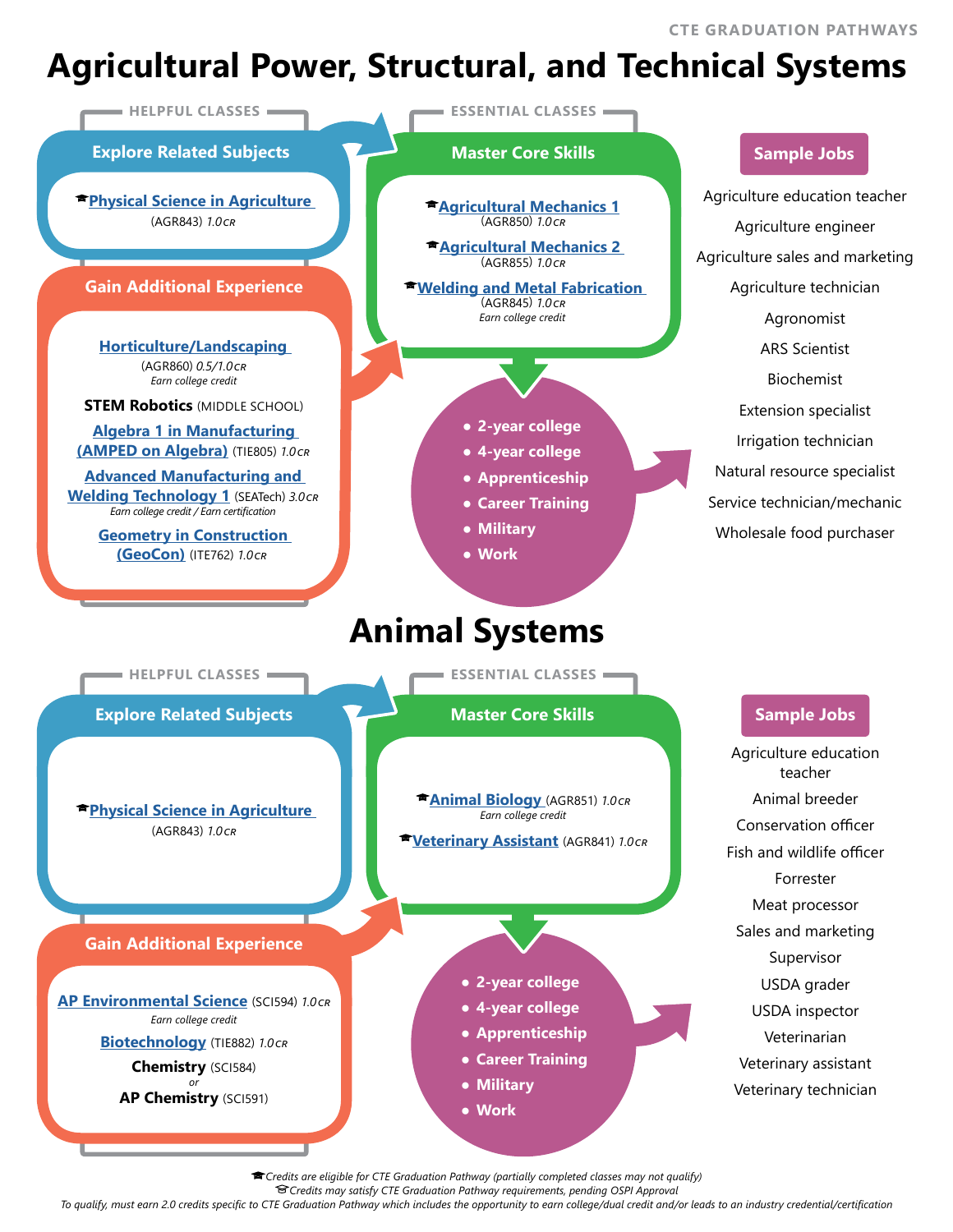**CTE GRADUATION PATHWAYS**

# **Agricultural Power, Structural, and Technical Systems**



*Credits are eligible for CTE Graduation Pathway (partially completed classes may not qualify)*

*Credits may satisfy CTE Graduation Pathway requirements, pending OSPI Approval*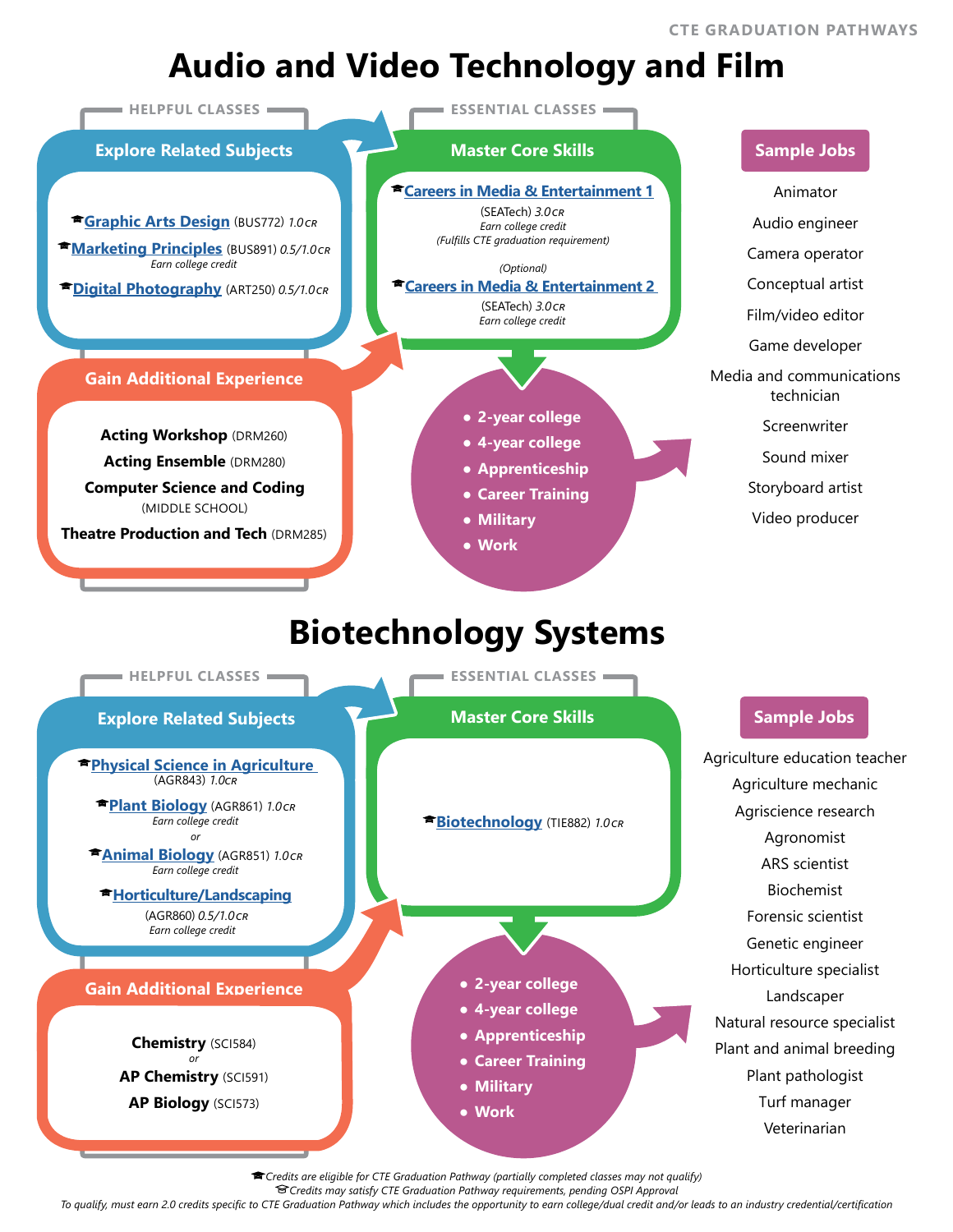# **Audio and Video Technology and Film**



*Credits are eligible for CTE Graduation Pathway (partially completed classes may not qualify)*

*Credits may satisfy CTE Graduation Pathway requirements, pending OSPI Approval*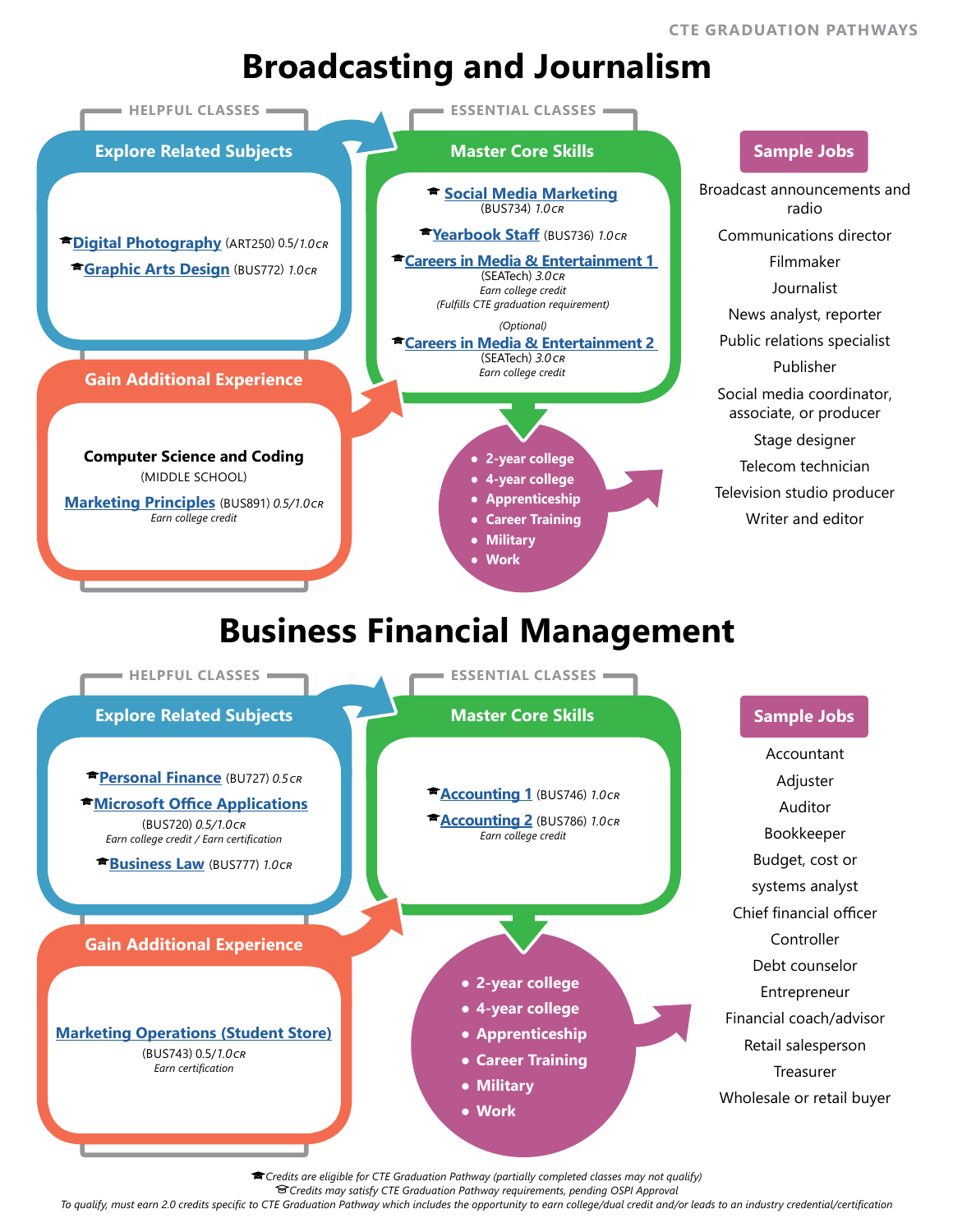## **Broadcasting and Journalism**



*Credits are eligible for CTE Graduation Pathway (partially completed classes may not qualify)*

*Credits may satisfy CTE Graduation Pathway requirements, pending OSPI Approval*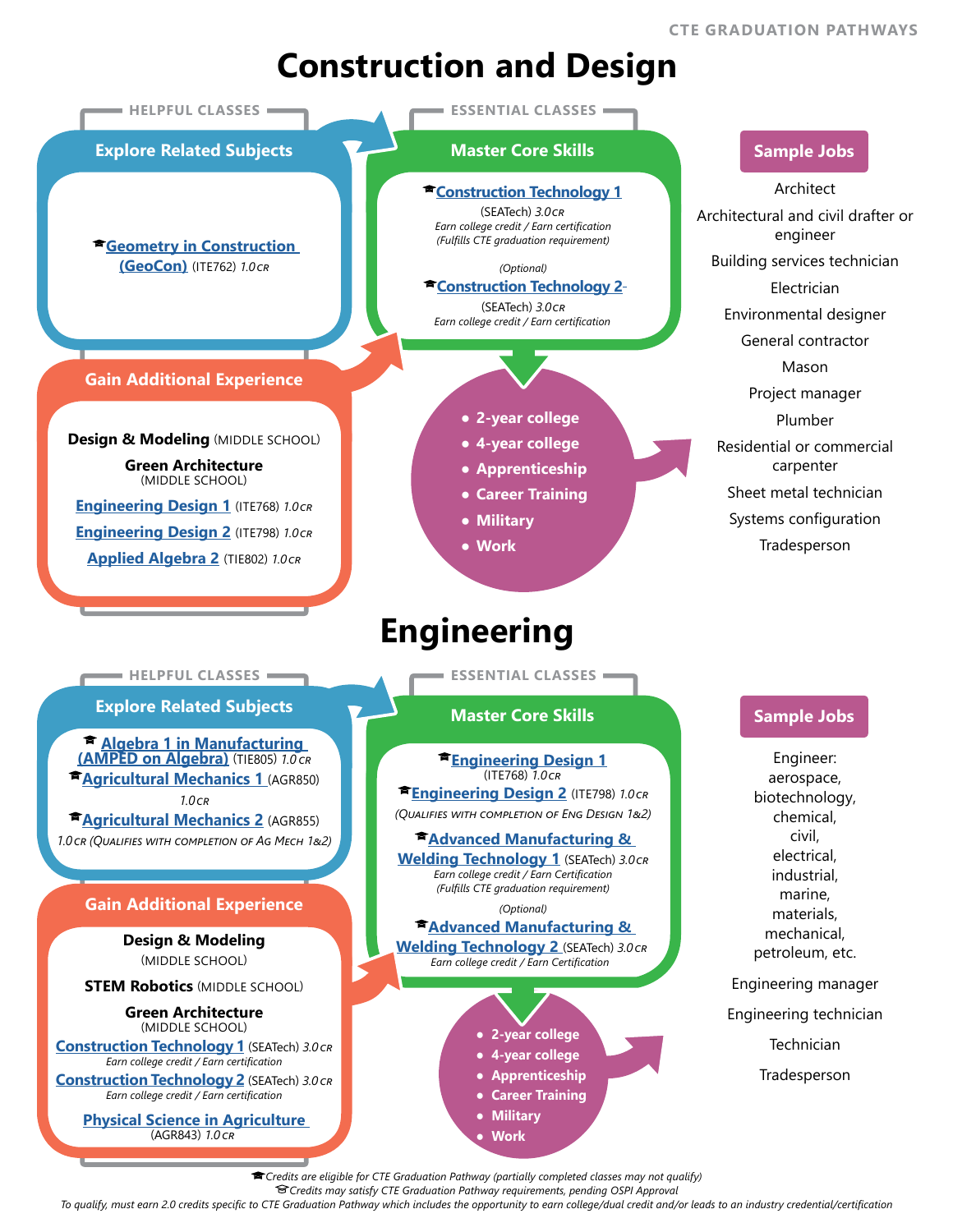## **Construction and Design**



*Credits may satisfy CTE Graduation Pathway requirements, pending OSPI Approval*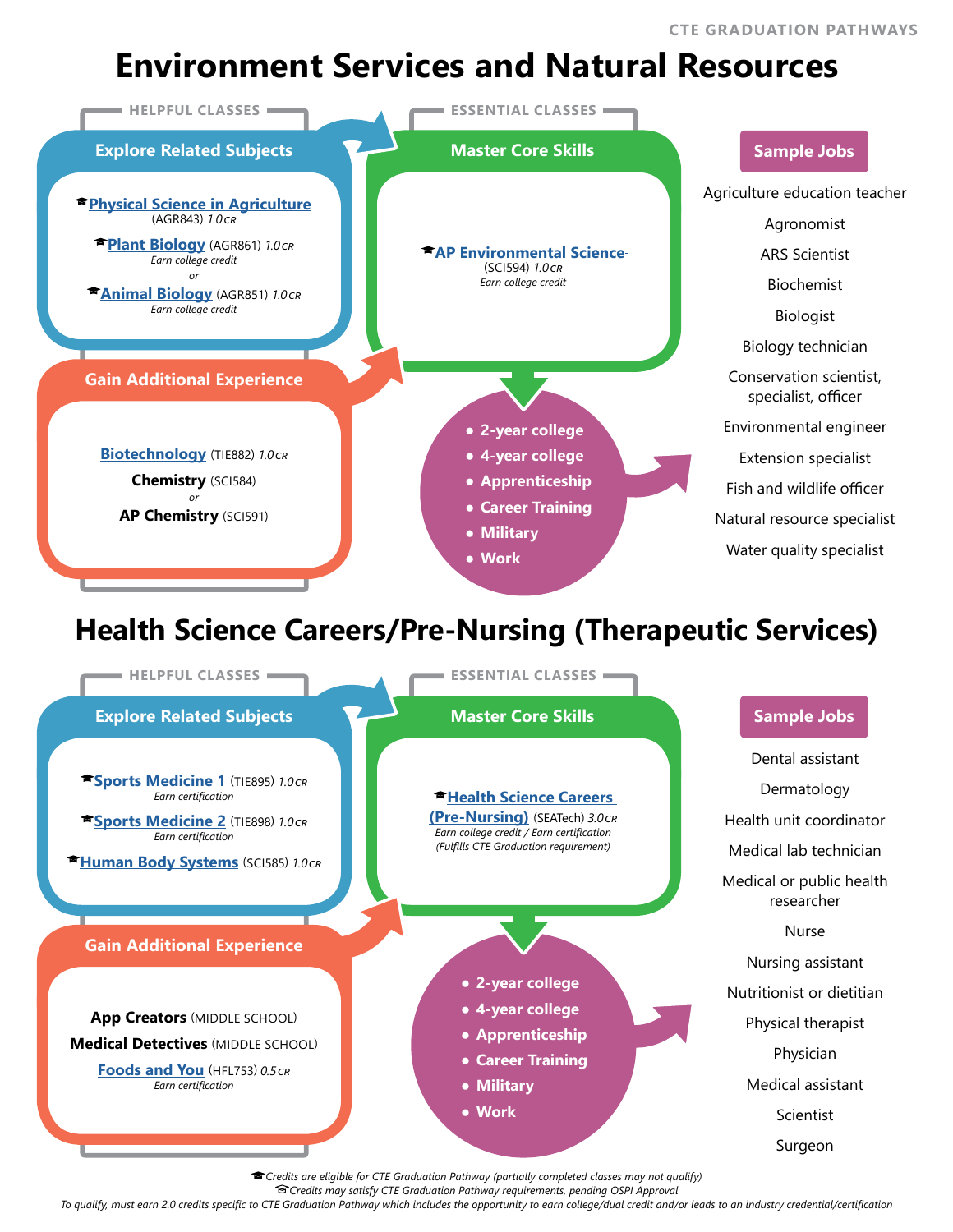# **Environment Services and Natural Resources**



*Credits are eligible for CTE Graduation Pathway (partially completed classes may not qualify)*

*Credits may satisfy CTE Graduation Pathway requirements, pending OSPI Approval*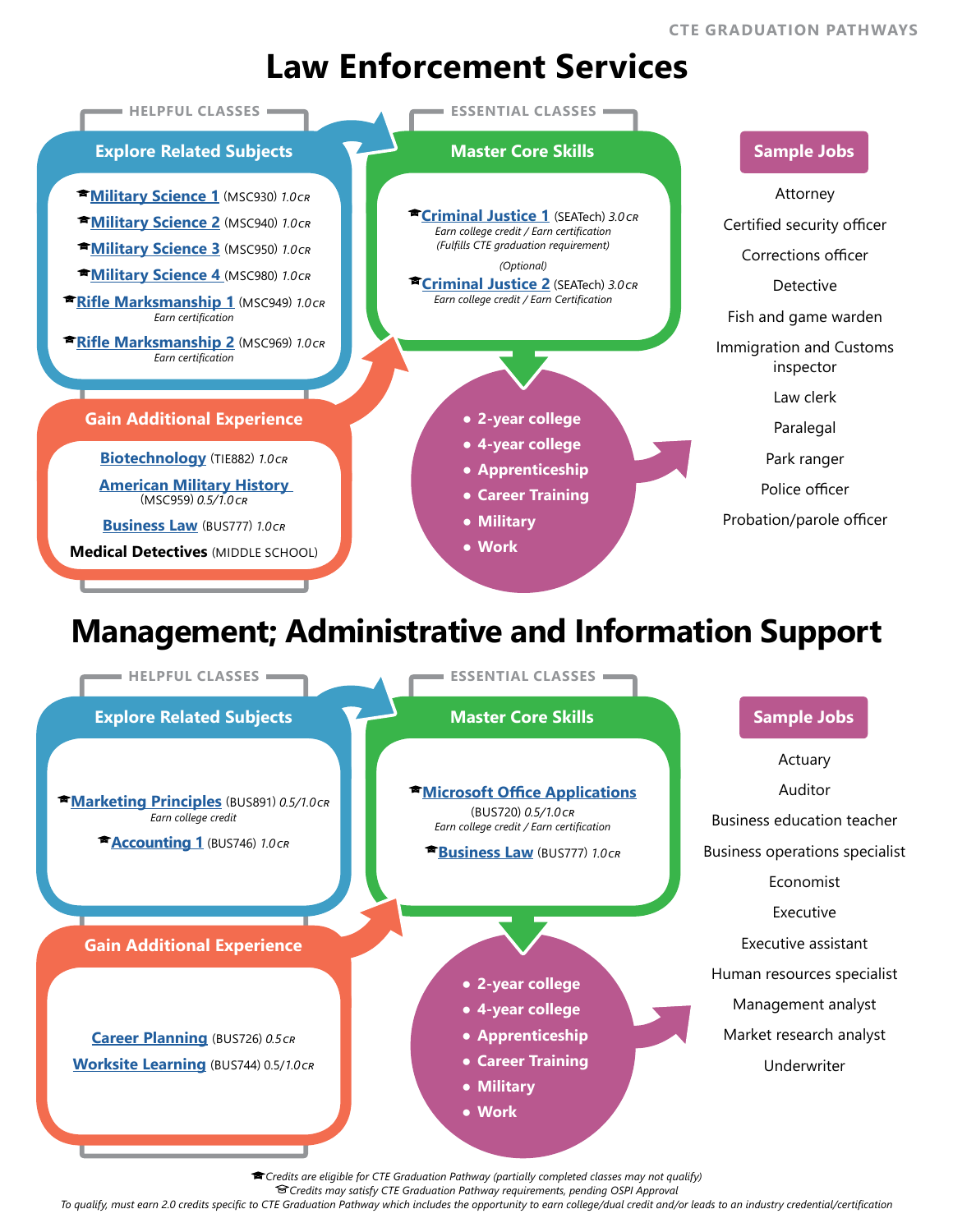### **Law Enforcement Services**



*Credits are eligible for CTE Graduation Pathway (partially completed classes may not qualify)*

*Credits may satisfy CTE Graduation Pathway requirements, pending OSPI Approval*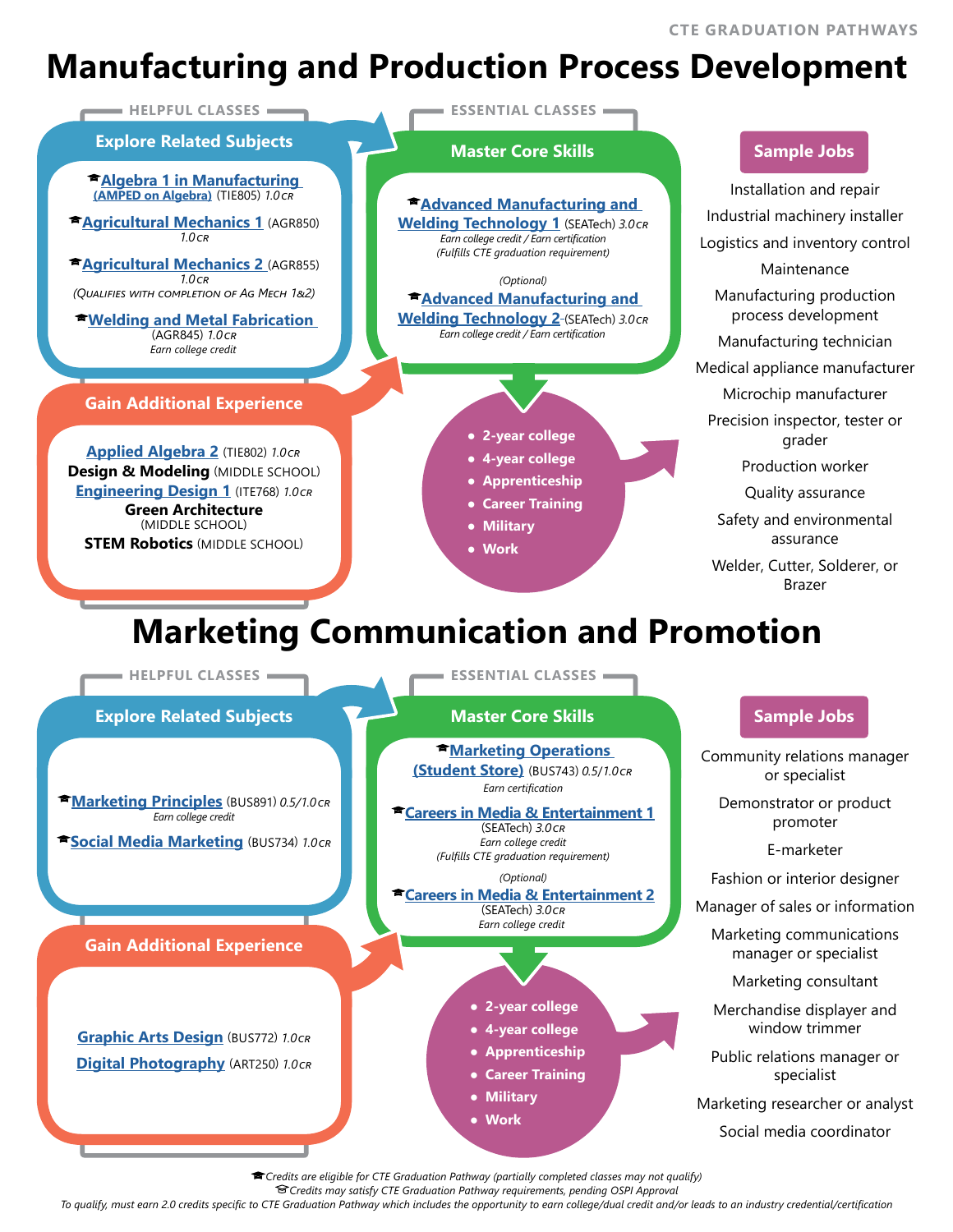# **Manufacturing and Production Process Development**



*Credits are eligible for CTE Graduation Pathway (partially completed classes may not qualify)*

*Credits may satisfy CTE Graduation Pathway requirements, pending OSPI Approval*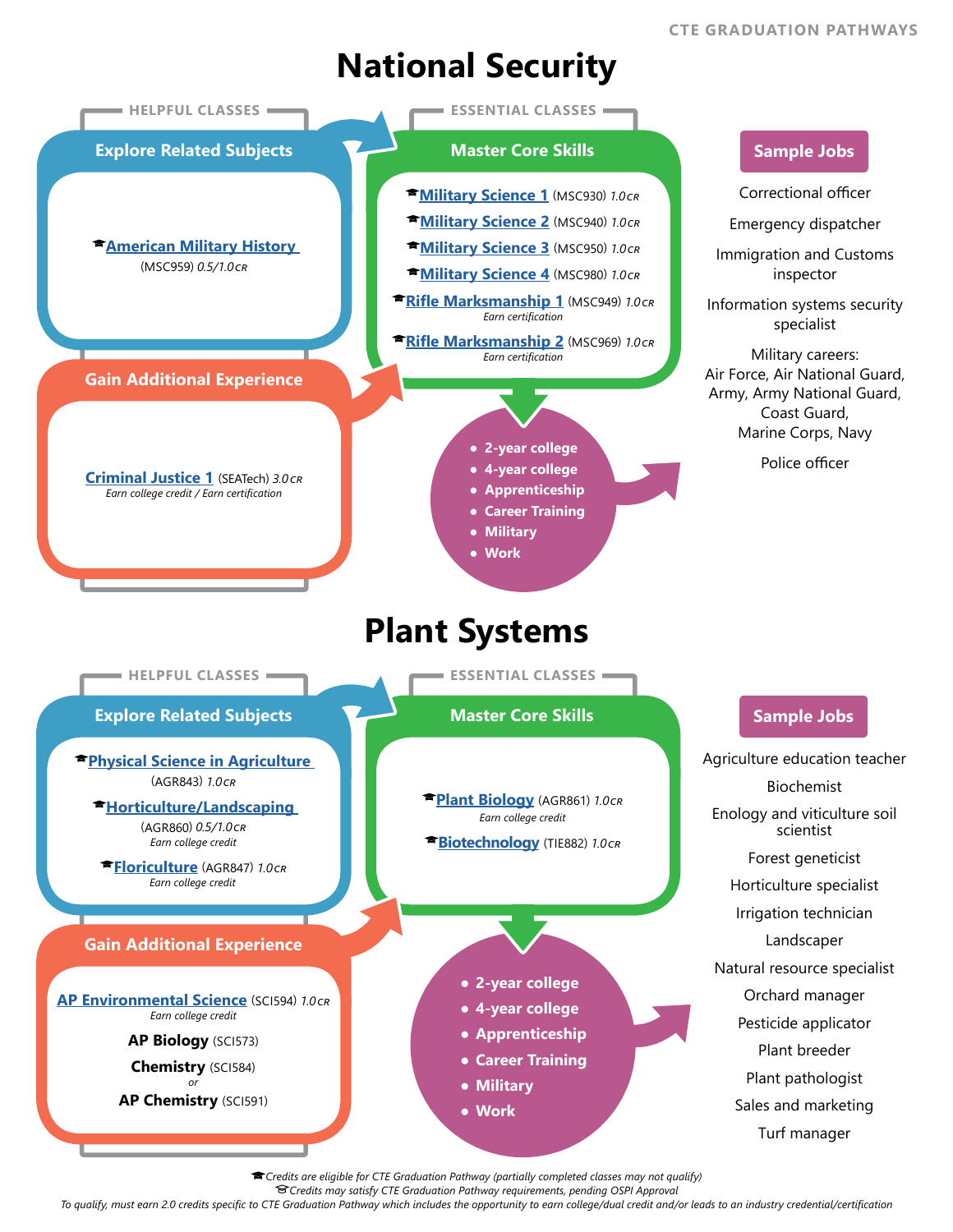# **National Security**



*Credits are eligible for CTE Graduation Pathway (partially completed classes may not qualify)*

*Credits may satisfy CTE Graduation Pathway requirements, pending OSPI Approval*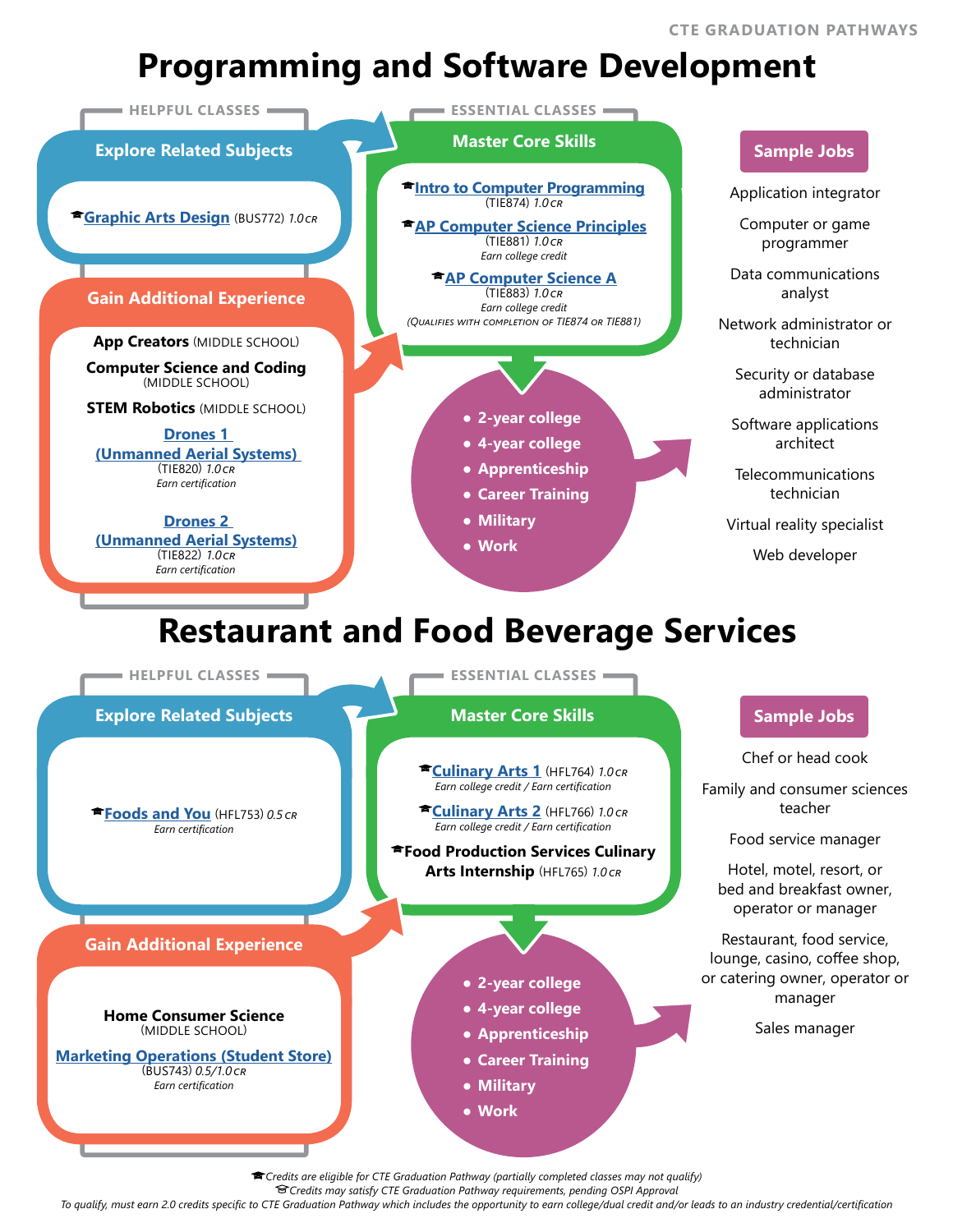# **Programming and Software Development**



*Credits are eligible for CTE Graduation Pathway (partially completed classes may not qualify)*

*Credits may satisfy CTE Graduation Pathway requirements, pending OSPI Approval*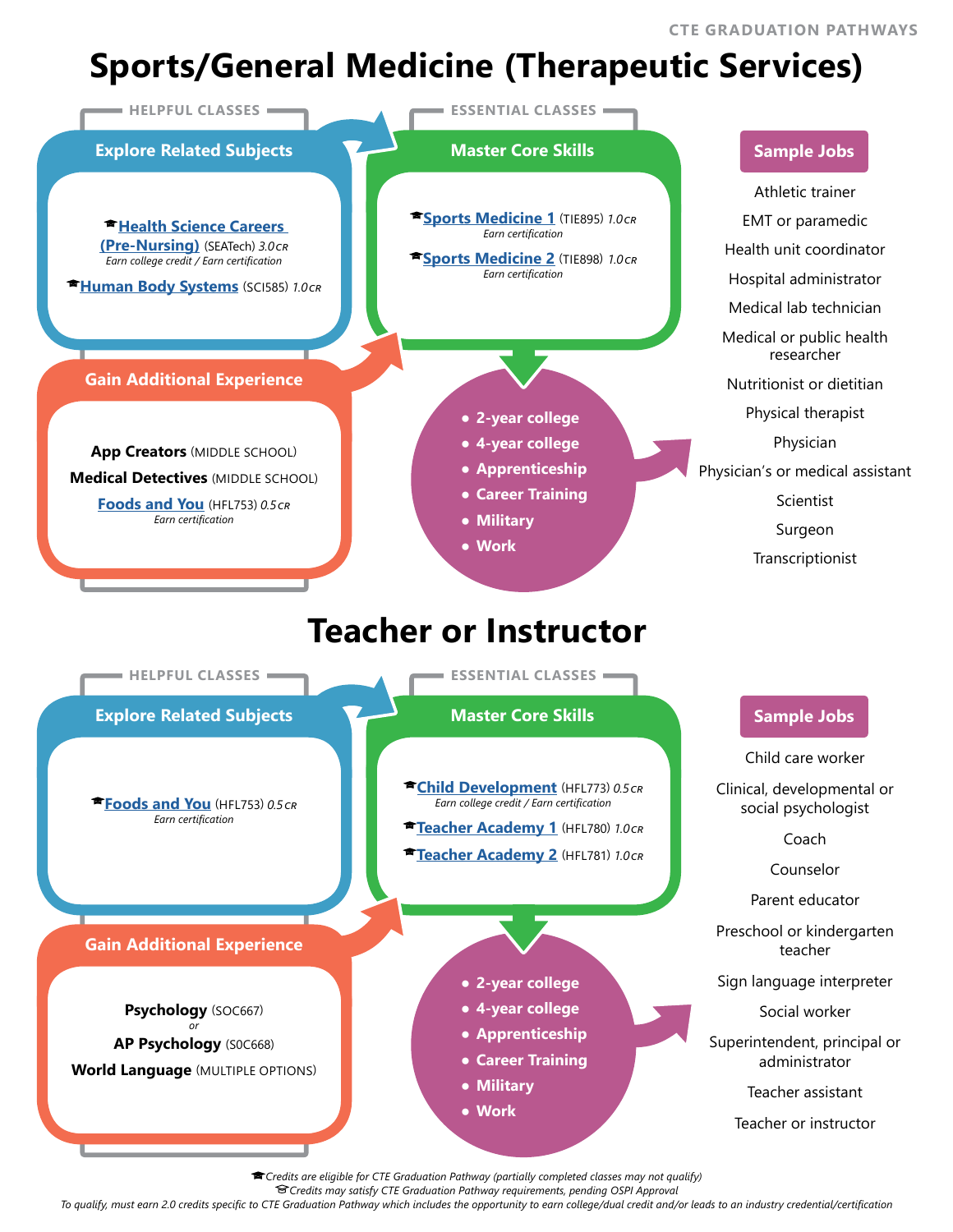# **Sports/General Medicine (Therapeutic Services)**



*Credits are eligible for CTE Graduation Pathway (partially completed classes may not qualify)*

*Credits may satisfy CTE Graduation Pathway requirements, pending OSPI Approval*